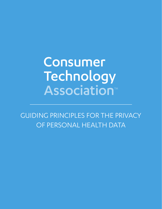# Consumer Technology **Association<sup>™</sup>**

GUIDING PRINCIPLES FOR THE PRIVACY OF PERSONAL HEALTH DATA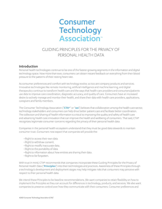# **Consumer Technology Association**<sup>®</sup>

# GUIDING PRINCIPLES FOR THE PRIVACY OF PERSONAL HEALTH DATA

#### Introduction

Personal health technologies continue to be one of the fastest-growing segments in the information and digital technology space. Now more than ever, consumers can obtain instant feedback on everything from their blood pressure to the patterns of their resting heart rate.

As consumer preferences and comfort with technology evolve, so too are company products and services. Innovative technologies like remote monitoring, artificial intelligence and machine learning, and digital therapeutics continue to transform health care and the ways that health care providers and consumers/patients use data to improve care coordination, diagnostic accuracy, and quality of care. Consumers have an increased desire to actively manage and monitor their health, and share their data with health care providers, applications, caregivers and family members.

The Consumer Technology Association ("**CTA®**" or "**we**") believes that collaboration among the health care sector, technology stakeholders and consumers can help drive better patient care and facilitate better coordination. The collection and sharing of health information is critical to improving the quality and safety of health care and advancing health care innovation that can improve the health and wellbeing of consumers. That said, CTA® recognizes legitimate consumer concerns regarding the privacy of their personal health data.

Companies in the personal health ecosystem understand that they must be good data stewards to maintain consumer trust. Consumers now expect that companies will provide the:

- Right to access their own data.
- Right to withdraw consent.
- Right to modify inaccurate data.
- Right to the portability of data.
- Right to information about how entities are sharing their data.
- Right to be forgotten.

With trust in mind, CTA® recommends that companies incorporate these Guiding Principles for the Privacy of Personal Health Data ("**Principles**") into their technologies and practices. Awareness of these Principles through a technology's development and deployment stages may help mitigate risks that consumers may perceive with respect to their personal health data.

We intend these Principles to be baseline recommendations. We want companies to retain flexibility on how to implement the Principles so they can account for differences in technology, products, and services. We also want companies to preserve control over how they communicate with their consumers. Consumer preferences and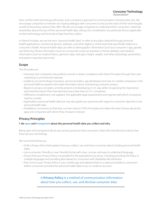#### **Consumer Technology** Association<sup>®</sup>

their comfort with technology will evolve, and a company's approach to communication should evolve, too. We encourage companies to maintain an ongoing dialogue with consumers to discuss the value of their technologies, as well as the privacy options they offer. We also encourage companies to understand their consumers' potential sensitivities about the use of their personal health data, taking into consideration any particular factors applicable to their technology and the kinds of data that they collect.

In these Principles, we use the term "personal health data" to refer to any data collected through personal health applications, monitoring devices, websites, and other digital or online tools that specifically relates to a consumer's health. Personal health data can refer to demographic information (such as a consumer's age, gender, and ethnicity), fitness information (such as a consumer's exercise activities or fitness abilities), and medical information (such as medical history, genomic data, vital signs, height, weight, and other physiologic parameters, and patient-reported outcomes).

### Scope

The Principles are:

- Voluntary, but companies may publicly commit or attest compliance with these Principles through their own marketing or promotional materials.
- Usable by any technology innovators, service providers, app developers and new-to-market companies in the personal health ecosystem who seek information about maintaining consumer privacy.
- Based on privacy concepts currently present and developing in U.S. law, while recognizing the importance and potential impact that international privacy laws have on U.S. companies.
- Offered to complement, not supplant, the applicable legal requirements and regimes with which companies need to comply.
- Applicable to personal health data but may also guide your practices with regard to consumer data that is not personal health data.
- Available to consumers so that they can learn about CTA®'s Principles and make informed choices about the apps and companies with whom they choose to interact.

# Privacy Principles

#### 1. Be **open** and **transparent** about the personal health data you collect and why.

Being open and transparent about your privacy practices help consumers make informed decisions about how they use your technology.

We recommend that you:

- Draft a Privacy Policy that explains how you collect, use, and share consumer data (including personal health data).
- Use a consumer-friendly or user-friendly format with clear, concise, and easy to understand language.
- Ensure that your Privacy Policy is accessible for the populations you serve, including providing the Policy in multiple languages and providing alternatives for consumers with disabilities like blindness.
- Post a link to your Privacy Policy in your mobile app and website where it is easily accessible to consumers before consumers provide their personal health data to you or create an account.

## A **Privacy Policy** is a method of communication information about how you collect, use, and disclose consumer data.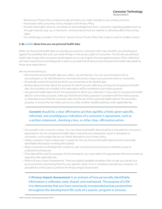- Review your Privacy Policy at least annually and when you make changes to your privacy practices.
- Proactively notify consumers of any changes to the Privacy Policy.
- Provide meaningful notice to, and obtain an acknowledgement from, consumers regarding updates (such as through a banner, pop-up, or electronic communication) that are material or otherwise affect their privacy rights.
- For mobile apps, provide a "short form" version of your Privacy Policy that is easy to read on smaller screens.

#### 2. Be **careful** about how you use personal health data.

While use of personal health data can provide you and your consumers with many benefits, you should guard against the possibility that such use could infringe on the privacy rights of consumers. You should use personal health data in ways that consumers would expect you to use it (given the anticipated purpose of the collection) and have requirements and safeguards in place to provide that all who process that personal health data abide by those same expectations.

We recommend that you:

- Minimize the personal health data you collect, use and disclose. You can use techniques such as anonymization or de-identification to minimize the privacy impact your practices have on consumers.
- Periodically review the process by which you anonymize or de-identify data.
- Be descriptive and clear about the purpose for which you are collecting, storing and using personal health data. Any activities not included in this description will be considered a secondary purpose.
- Use personal health data only for the purpose(s) for which you collected it. If you want to use personal health data for a secondary purpose, make sure that the secondary purpose is consistent with the initial purpose, or otherwise ensure that the consumer opts into the use of their personal health data for the secondary purpose; or ensure the secondary use occurs under another available pathway under applicable law.

# **Consent** should be a clear affirmative act that signifies a freely given specific, informed, and unambiguous indication of a consumer's agreement, such as a written statement, checking a box, or other clear, affirmative action.

- Put yourself in the consumer's shoes. Your use of personal health data should be in line with the consumer's expectations. Do not use personal health data in ways that are unexpected, unjust or deceptive to consumers, such as ways that are not clearly disclosed in your Privacy Policy.
- Obtain consent or have a robust opt-in system for the use of personal health data and other personally identifiable information involving third parties.
- Allow consumers to withdraw their consent or opt-in and ensure the process to withdraw is easy to understand and execute.
- If the data will be used for purposes of clinical research, you must obtain the appropriate informed consent as required under applicable law.
- Perform Privacy Impact Assessments. There are publicly available templates that can get you started, but we recommend customizing them for your specific needs. From a compliance perspective, however, it is advisable for a third party to perform the Privacy Impact Assessment.

A **Privacy Impact Assessment** is an analysis of how personally identifiable information is collected, used, shared, and maintained. The purpose of a PIA is to demonstrate that you have consciously incorporated privacy protections throughout the development life cycle of a system, program or process.

©2021 Consumer Technology Association (CTA)®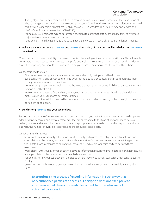#### **Consumer Technology** Association<sup>®</sup>

- If using algorithms or automated solutions to assist in human care decisions, provide a clear description of what is being predicted and what is the expected output of the algorithm or automated solution. You should comply with responsible AI practices (such as the ANSI/CTA Standard *The Use of Artificial Intelligence in Health Care: Trustworthiness ANSI/CTA-2090*)
- Periodically review algorithms and automated decisions to confirm that they are applied fairly and without prejudice to certain classes of consumers.
- Keep personal health data only as long as you need it and destroy it securely once it is no longer needed.

#### 3. Make it easy for consumers to **access** and **control** the sharing of their personal health data and **empower** them to do so.

Consumers should have the ability to access and control the sharing of their personal health data. This will enable consumers to take steps to communicate their preferences about how their data is used and shared in order to protect their privacy. You should also take steps to help consumers be empowered to exercise their choices.

We recommend that you:

- Give consumers the right and the means to access and modify their personal health data.
- Build consumer-facing privacy settings into your technology so that consumers can communicate their privacy preferences to you in real time.
- Consider adopting emerging technologies that would enhance the consumer's ability to access and control their personal health data.
- Make the settings easy to find and easy to use, such as toggles or check boxes placed in a clearly labeled menu (e.g., Privacy Dashboard or Privacy Settings).
- Honor other privacy rights provided by the laws applicable and relevant to you, such as the right to deletion, portability, or objection.

#### 4. Build strong **security** into your technology.

Respecting the privacy of consumers means protecting the data you maintain about them. You should implement administrative, technical and physical safeguards that are appropriate to the type of personal health data you collect, process and store. When determining what is appropriate, you should consider the size, scope and type of business, the number of available resources, and the amount of stored data.

We recommend that you:

- Perform information security risk assessments to identify and assess reasonably foreseeable internal and external risks to the security, confidentiality, and/or integrity of documents or records containing personal health data. From a compliance perspective, however, it is advisable for a third party to perform these assessments.
- Work closely with your information technology and information security teams to determine what measures are appropriate for the type of personal health data you collect.
- Periodically review your cybersecurity policies to ensure they meet current standards which tend to evolve quickly.
- Use encryption technology to protect personal health data that is sensitive in nature while at rest and in transit.

# **Encryption** is the process of encoding information in such a way that only authorized parties can access it. Encryption does not itself prevent interference, but denies the readable content to those who are not autorized to access it.